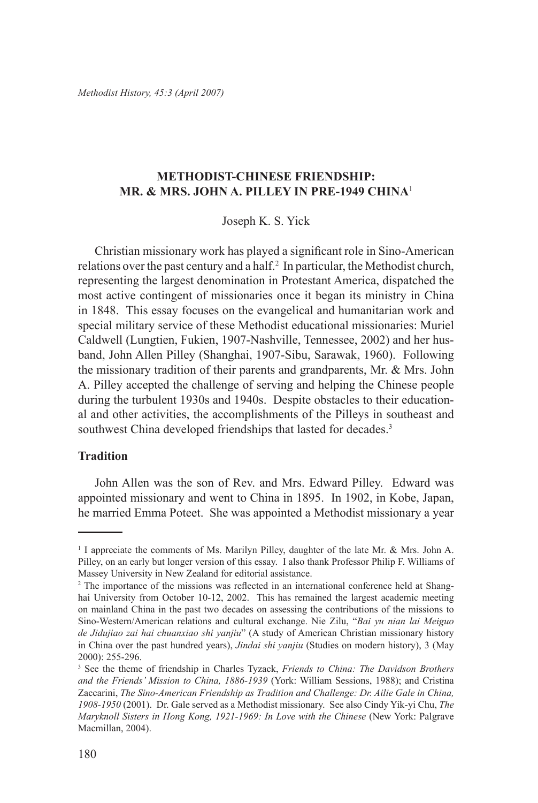*Methodist History, 45:3 (April 2007)*

# **METHODIST-CHINESE FRIENDSHIP: MR. & MRS. JOHN A. PILLEY IN PRE-1949 CHINA**<sup>1</sup>

Joseph K. S. Yick

Christian missionary work has played a significant role in Sino-American relations over the past century and a half.<sup>2</sup> In particular, the Methodist church, representing the largest denomination in Protestant America, dispatched the most active contingent of missionaries once it began its ministry in China in 1848. This essay focuses on the evangelical and humanitarian work and special military service of these Methodist educational missionaries: Muriel Caldwell (Lungtien, Fukien, 1907-Nashville, Tennessee, 2002) and her husband, John Allen Pilley (Shanghai, 1907-Sibu, Sarawak, 1960). Following the missionary tradition of their parents and grandparents, Mr. & Mrs. John A. Pilley accepted the challenge of serving and helping the Chinese people during the turbulent 1930s and 1940s. Despite obstacles to their educational and other activities, the accomplishments of the Pilleys in southeast and southwest China developed friendships that lasted for decades.<sup>3</sup>

#### **Tradition**

John Allen was the son of Rev. and Mrs. Edward Pilley. Edward was appointed missionary and went to China in 1895. In 1902, in Kobe, Japan, he married Emma Poteet. She was appointed a Methodist missionary a year

<sup>1</sup> I appreciate the comments of Ms. Marilyn Pilley, daughter of the late Mr. & Mrs. John A. Pilley, on an early but longer version of this essay. I also thank Professor Philip F. Williams of Massey University in New Zealand for editorial assistance.

<sup>&</sup>lt;sup>2</sup> The importance of the missions was reflected in an international conference held at Shanghai University from October 10-12, 2002. This has remained the largest academic meeting on mainland China in the past two decades on assessing the contributions of the missions to Sino-Western/American relations and cultural exchange. Nie Zilu, "*Bai yu nian lai Meiguo de Jidujiao zai hai chuanxiao shi yanjiu*" (A study of American Christian missionary history in China over the past hundred years), *Jindai shi yanjiu* (Studies on modern history), 3 (May 2000): 255-296.

<sup>3</sup> See the theme of friendship in Charles Tyzack, *Friends to China: The Davidson Brothers and the Friends' Mission to China, 1886-1939* (York: William Sessions, 1988); and Cristina Zaccarini, *The Sino-American Friendship as Tradition and Challenge: Dr. Ailie Gale in China, 1908-1950* (2001). Dr. Gale served as a Methodist missionary. See also Cindy Yik-yi Chu, *The Maryknoll Sisters in Hong Kong, 1921-1969: In Love with the Chinese* (New York: Palgrave Macmillan, 2004).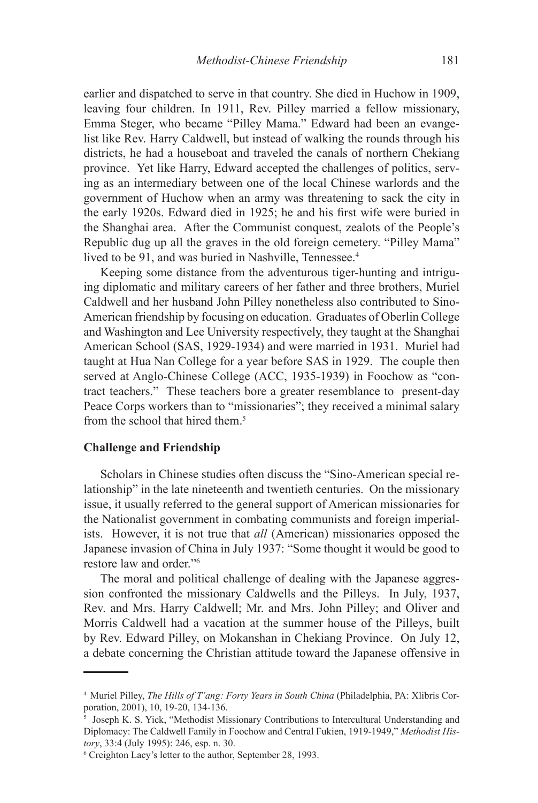earlier and dispatched to serve in that country. She died in Huchow in 1909, leaving four children. In 1911, Rev. Pilley married a fellow missionary, Emma Steger, who became "Pilley Mama." Edward had been an evangelist like Rev. Harry Caldwell, but instead of walking the rounds through his districts, he had a houseboat and traveled the canals of northern Chekiang province. Yet like Harry, Edward accepted the challenges of politics, serving as an intermediary between one of the local Chinese warlords and the government of Huchow when an army was threatening to sack the city in the early 1920s. Edward died in 1925; he and his first wife were buried in the Shanghai area. After the Communist conquest, zealots of the People's Republic dug up all the graves in the old foreign cemetery. "Pilley Mama" lived to be 91, and was buried in Nashville, Tennessee.<sup>4</sup>

Keeping some distance from the adventurous tiger-hunting and intriguing diplomatic and military careers of her father and three brothers, Muriel Caldwell and her husband John Pilley nonetheless also contributed to Sino-American friendship by focusing on education. Graduates of Oberlin College and Washington and Lee University respectively, they taught at the Shanghai American School (SAS, 1929-1934) and were married in 1931. Muriel had taught at Hua Nan College for a year before SAS in 1929. The couple then served at Anglo-Chinese College (ACC, 1935-1939) in Foochow as "contract teachers." These teachers bore a greater resemblance to present-day Peace Corps workers than to "missionaries"; they received a minimal salary from the school that hired them.<sup>5</sup>

### **Challenge and Friendship**

Scholars in Chinese studies often discuss the "Sino-American special relationship" in the late nineteenth and twentieth centuries. On the missionary issue, it usually referred to the general support of American missionaries for the Nationalist government in combating communists and foreign imperialists. However, it is not true that *all* (American) missionaries opposed the Japanese invasion of China in July 1937: "Some thought it would be good to restore law and order."6

The moral and political challenge of dealing with the Japanese aggression confronted the missionary Caldwells and the Pilleys. In July, 1937, Rev. and Mrs. Harry Caldwell; Mr. and Mrs. John Pilley; and Oliver and Morris Caldwell had a vacation at the summer house of the Pilleys, built by Rev. Edward Pilley, on Mokanshan in Chekiang Province. On July 12, a debate concerning the Christian attitude toward the Japanese offensive in

<sup>4</sup> Muriel Pilley, *The Hills of T'ang: Forty Years in South China* (Philadelphia, PA: Xlibris Corporation, 2001), 10, 19-20, 134-136.

<sup>5</sup> Joseph K. S. Yick, "Methodist Missionary Contributions to Intercultural Understanding and Diplomacy: The Caldwell Family in Foochow and Central Fukien, 1919-1949," *Methodist History*, 33:4 (July 1995): 246, esp. n. 30.

<sup>6</sup> Creighton Lacy's letter to the author, September 28, 1993.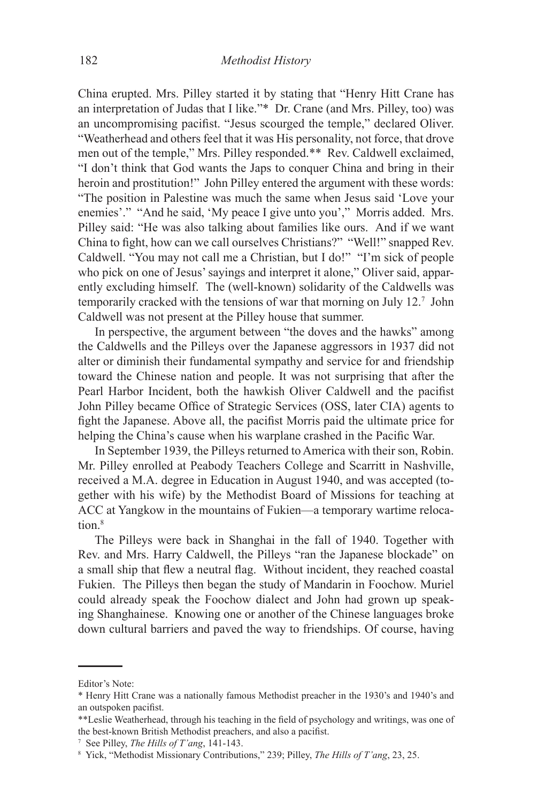China erupted. Mrs. Pilley started it by stating that "Henry Hitt Crane has an interpretation of Judas that I like."\* Dr. Crane (and Mrs. Pilley, too) was an uncompromising pacifist. "Jesus scourged the temple," declared Oliver. "Weatherhead and others feel that it was His personality, not force, that drove men out of the temple," Mrs. Pilley responded.\*\* Rev. Caldwell exclaimed, "I don't think that God wants the Japs to conquer China and bring in their heroin and prostitution!" John Pilley entered the argument with these words: "The position in Palestine was much the same when Jesus said 'Love your enemies'." "And he said, 'My peace I give unto you'," Morris added. Mrs. Pilley said: "He was also talking about families like ours. And if we want China to fight, how can we call ourselves Christians?" "Well!" snapped Rev. Caldwell. "You may not call me a Christian, but I do!" "I'm sick of people who pick on one of Jesus' sayings and interpret it alone," Oliver said, apparently excluding himself. The (well-known) solidarity of the Caldwells was temporarily cracked with the tensions of war that morning on July 12.7 John Caldwell was not present at the Pilley house that summer.

In perspective, the argument between "the doves and the hawks" among the Caldwells and the Pilleys over the Japanese aggressors in 1937 did not alter or diminish their fundamental sympathy and service for and friendship toward the Chinese nation and people. It was not surprising that after the Pearl Harbor Incident, both the hawkish Oliver Caldwell and the pacifist John Pilley became Office of Strategic Services (OSS, later CIA) agents to fight the Japanese. Above all, the pacifist Morris paid the ultimate price for helping the China's cause when his warplane crashed in the Pacific War.

In September 1939, the Pilleys returned to America with their son, Robin. Mr. Pilley enrolled at Peabody Teachers College and Scarritt in Nashville, received a M.A. degree in Education in August 1940, and was accepted (together with his wife) by the Methodist Board of Missions for teaching at ACC at Yangkow in the mountains of Fukien—a temporary wartime relocation.<sup>8</sup>

The Pilleys were back in Shanghai in the fall of 1940. Together with Rev. and Mrs. Harry Caldwell, the Pilleys "ran the Japanese blockade" on a small ship that flew a neutral flag. Without incident, they reached coastal Fukien. The Pilleys then began the study of Mandarin in Foochow. Muriel could already speak the Foochow dialect and John had grown up speaking Shanghainese. Knowing one or another of the Chinese languages broke down cultural barriers and paved the way to friendships. Of course, having

Editor's Note:

<sup>\*</sup> Henry Hitt Crane was a nationally famous Methodist preacher in the 1930's and 1940's and an outspoken pacifist.

<sup>\*\*</sup>Leslie Weatherhead, through his teaching in the field of psychology and writings, was one of the best-known British Methodist preachers, and also a pacifist.

<sup>7</sup> See Pilley, *The Hills of T'ang*, 141-143.

<sup>8</sup> Yick, "Methodist Missionary Contributions," 239; Pilley, *The Hills of T'ang*, 23, 25.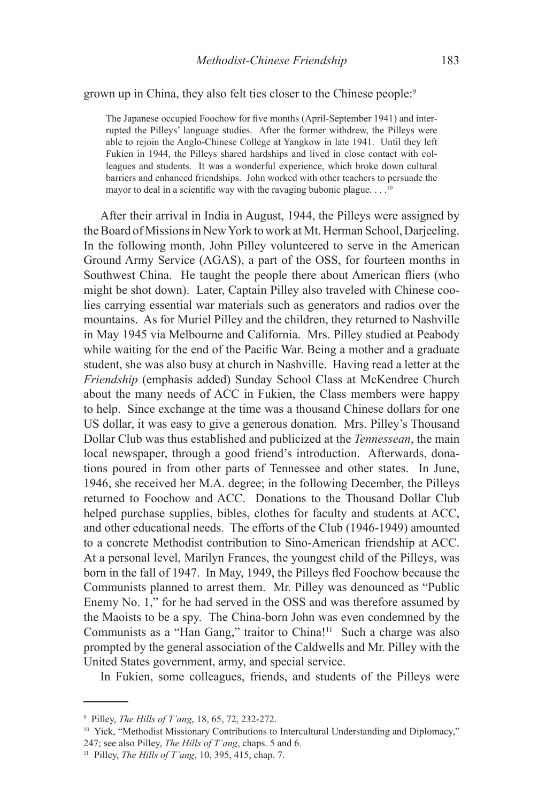grown up in China, they also felt ties closer to the Chinese people:9

The Japanese occupied Foochow for five months (April-September 1941) and interrupted the Pilleys' language studies. After the former withdrew, the Pilleys were able to rejoin the Anglo-Chinese College at Yangkow in late 1941. Until they left Fukien in 1944, the Pilleys shared hardships and lived in close contact with colleagues and students. It was a wonderful experience, which broke down cultural barriers and enhanced friendships. John worked with other teachers to persuade the mayor to deal in a scientific way with the ravaging bubonic plague. . . .<sup>10</sup>

After their arrival in India in August, 1944, the Pilleys were assigned by the Board of Missions in New York to work at Mt. Herman School, Darjeeling. In the following month, John Pilley volunteered to serve in the American Ground Army Service (AGAS), a part of the OSS, for fourteen months in Southwest China. He taught the people there about American fliers (who might be shot down). Later, Captain Pilley also traveled with Chinese coolies carrying essential war materials such as generators and radios over the mountains. As for Muriel Pilley and the children, they returned to Nashville in May 1945 via Melbourne and California. Mrs. Pilley studied at Peabody while waiting for the end of the Pacific War. Being a mother and a graduate student, she was also busy at church in Nashville. Having read a letter at the *Friendship* (emphasis added) Sunday School Class at McKendree Church about the many needs of ACC in Fukien, the Class members were happy to help. Since exchange at the time was a thousand Chinese dollars for one US dollar, it was easy to give a generous donation. Mrs. Pilley's Thousand Dollar Club was thus established and publicized at the *Tennessean*, the main local newspaper, through a good friend's introduction. Afterwards, donations poured in from other parts of Tennessee and other states. In June, 1946, she received her M.A. degree; in the following December, the Pilleys returned to Foochow and ACC. Donations to the Thousand Dollar Club helped purchase supplies, bibles, clothes for faculty and students at ACC, and other educational needs. The efforts of the Club (1946-1949) amounted to a concrete Methodist contribution to Sino-American friendship at ACC. At a personal level, Marilyn Frances, the youngest child of the Pilleys, was born in the fall of 1947. In May, 1949, the Pilleys fled Foochow because the Communists planned to arrest them. Mr. Pilley was denounced as "Public Enemy No. 1," for he had served in the OSS and was therefore assumed by the Maoists to be a spy. The China-born John was even condemned by the Communists as a "Han Gang," traitor to China!<sup>11</sup> Such a charge was also prompted by the general association of the Caldwells and Mr. Pilley with the United States government, army, and special service.

In Fukien, some colleagues, friends, and students of the Pilleys were

<sup>9</sup> Pilley, *The Hills of T'ang*, 18, 65, 72, 232-272.

<sup>&</sup>lt;sup>10</sup> Yick, "Methodist Missionary Contributions to Intercultural Understanding and Diplomacy," 247; see also Pilley, *The Hills of T'ang*, chaps. 5 and 6.

<sup>11</sup> Pilley, *The Hills of T'ang*, 10, 395, 415, chap. 7.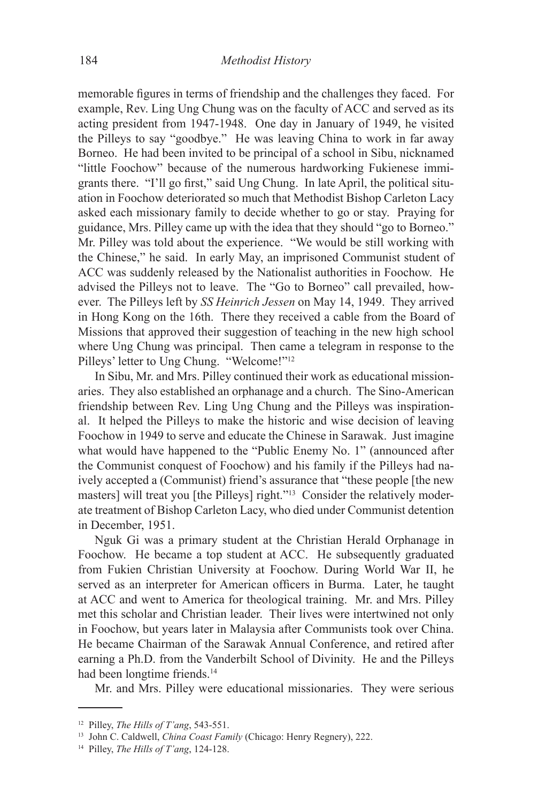memorable figures in terms of friendship and the challenges they faced. For example, Rev. Ling Ung Chung was on the faculty of ACC and served as its acting president from 1947-1948. One day in January of 1949, he visited the Pilleys to say "goodbye." He was leaving China to work in far away Borneo. He had been invited to be principal of a school in Sibu, nicknamed "little Foochow" because of the numerous hardworking Fukienese immigrants there. "I'll go first," said Ung Chung. In late April, the political situation in Foochow deteriorated so much that Methodist Bishop Carleton Lacy asked each missionary family to decide whether to go or stay. Praying for guidance, Mrs. Pilley came up with the idea that they should "go to Borneo." Mr. Pilley was told about the experience. "We would be still working with the Chinese," he said. In early May, an imprisoned Communist student of ACC was suddenly released by the Nationalist authorities in Foochow. He advised the Pilleys not to leave. The "Go to Borneo" call prevailed, however. The Pilleys left by *SS Heinrich Jessen* on May 14, 1949. They arrived in Hong Kong on the 16th. There they received a cable from the Board of Missions that approved their suggestion of teaching in the new high school where Ung Chung was principal. Then came a telegram in response to the Pilleys' letter to Ung Chung. "Welcome!"12

In Sibu, Mr. and Mrs. Pilley continued their work as educational missionaries. They also established an orphanage and a church. The Sino-American friendship between Rev. Ling Ung Chung and the Pilleys was inspirational. It helped the Pilleys to make the historic and wise decision of leaving Foochow in 1949 to serve and educate the Chinese in Sarawak. Just imagine what would have happened to the "Public Enemy No. 1" (announced after the Communist conquest of Foochow) and his family if the Pilleys had naively accepted a (Communist) friend's assurance that "these people [the new masters] will treat you [the Pilleys] right."<sup>13</sup> Consider the relatively moderate treatment of Bishop Carleton Lacy, who died under Communist detention in December, 1951.

Nguk Gi was a primary student at the Christian Herald Orphanage in Foochow. He became a top student at ACC. He subsequently graduated from Fukien Christian University at Foochow. During World War II, he served as an interpreter for American officers in Burma. Later, he taught at ACC and went to America for theological training. Mr. and Mrs. Pilley met this scholar and Christian leader. Their lives were intertwined not only in Foochow, but years later in Malaysia after Communists took over China. He became Chairman of the Sarawak Annual Conference, and retired after earning a Ph.D. from the Vanderbilt School of Divinity. He and the Pilleys had been longtime friends.<sup>14</sup>

Mr. and Mrs. Pilley were educational missionaries. They were serious

<sup>12</sup> Pilley, *The Hills of T'ang*, 543-551.

<sup>13</sup> John C. Caldwell, *China Coast Family* (Chicago: Henry Regnery), 222.

<sup>14</sup> Pilley, *The Hills of T'ang*, 124-128.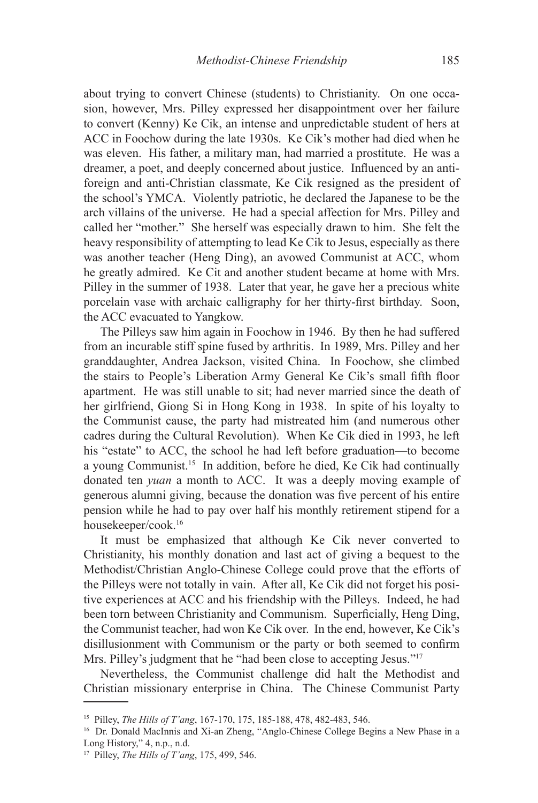about trying to convert Chinese (students) to Christianity. On one occasion, however, Mrs. Pilley expressed her disappointment over her failure to convert (Kenny) Ke Cik, an intense and unpredictable student of hers at ACC in Foochow during the late 1930s. Ke Cik's mother had died when he was eleven. His father, a military man, had married a prostitute. He was a dreamer, a poet, and deeply concerned about justice. Influenced by an antiforeign and anti-Christian classmate, Ke Cik resigned as the president of the school's YMCA. Violently patriotic, he declared the Japanese to be the arch villains of the universe. He had a special affection for Mrs. Pilley and called her "mother." She herself was especially drawn to him. She felt the heavy responsibility of attempting to lead Ke Cik to Jesus, especially as there was another teacher (Heng Ding), an avowed Communist at ACC, whom he greatly admired. Ke Cit and another student became at home with Mrs. Pilley in the summer of 1938. Later that year, he gave her a precious white porcelain vase with archaic calligraphy for her thirty-first birthday. Soon, the ACC evacuated to Yangkow.

The Pilleys saw him again in Foochow in 1946. By then he had suffered from an incurable stiff spine fused by arthritis. In 1989, Mrs. Pilley and her granddaughter, Andrea Jackson, visited China. In Foochow, she climbed the stairs to People's Liberation Army General Ke Cik's small fifth floor apartment. He was still unable to sit; had never married since the death of her girlfriend, Giong Si in Hong Kong in 1938. In spite of his loyalty to the Communist cause, the party had mistreated him (and numerous other cadres during the Cultural Revolution). When Ke Cik died in 1993, he left his "estate" to ACC, the school he had left before graduation—to become a young Communist.15 In addition, before he died, Ke Cik had continually donated ten *yuan* a month to ACC. It was a deeply moving example of generous alumni giving, because the donation was five percent of his entire pension while he had to pay over half his monthly retirement stipend for a housekeeper/cook.16

It must be emphasized that although Ke Cik never converted to Christianity, his monthly donation and last act of giving a bequest to the Methodist/Christian Anglo-Chinese College could prove that the efforts of the Pilleys were not totally in vain. After all, Ke Cik did not forget his positive experiences at ACC and his friendship with the Pilleys. Indeed, he had been torn between Christianity and Communism. Superficially, Heng Ding, the Communist teacher, had won Ke Cik over. In the end, however, Ke Cik's disillusionment with Communism or the party or both seemed to confirm Mrs. Pilley's judgment that he "had been close to accepting Jesus."<sup>17</sup>

Nevertheless, the Communist challenge did halt the Methodist and Christian missionary enterprise in China. The Chinese Communist Party

<sup>15</sup> Pilley, *The Hills of T'ang*, 167-170, 175, 185-188, 478, 482-483, 546.

<sup>&</sup>lt;sup>16</sup> Dr. Donald MacInnis and Xi-an Zheng, "Anglo-Chinese College Begins a New Phase in a Long History," 4, n.p., n.d.

<sup>17</sup> Pilley, *The Hills of T'ang*, 175, 499, 546.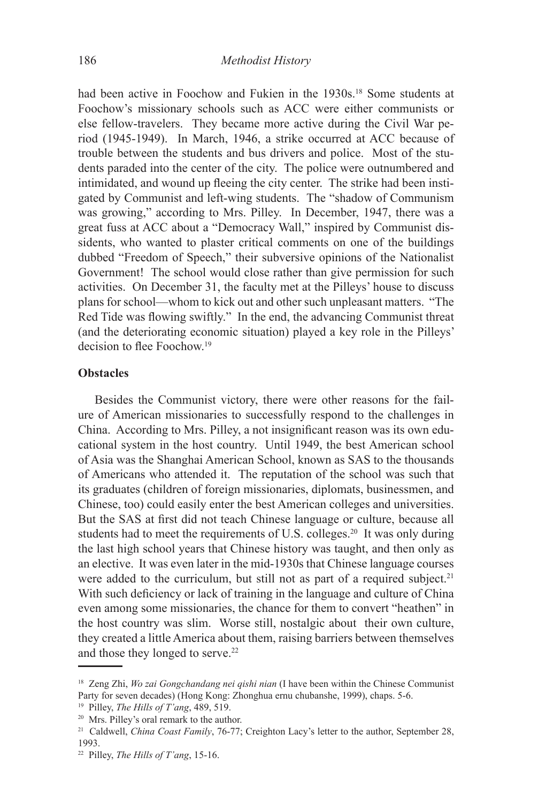had been active in Foochow and Fukien in the 1930s.<sup>18</sup> Some students at Foochow's missionary schools such as ACC were either communists or else fellow-travelers. They became more active during the Civil War period (1945-1949). In March, 1946, a strike occurred at ACC because of trouble between the students and bus drivers and police. Most of the students paraded into the center of the city. The police were outnumbered and intimidated, and wound up fleeing the city center. The strike had been instigated by Communist and left-wing students. The "shadow of Communism was growing," according to Mrs. Pilley. In December, 1947, there was a great fuss at ACC about a "Democracy Wall," inspired by Communist dissidents, who wanted to plaster critical comments on one of the buildings dubbed "Freedom of Speech," their subversive opinions of the Nationalist Government! The school would close rather than give permission for such activities. On December 31, the faculty met at the Pilleys' house to discuss plans for school—whom to kick out and other such unpleasant matters. "The Red Tide was flowing swiftly." In the end, the advancing Communist threat (and the deteriorating economic situation) played a key role in the Pilleys' decision to flee Foochow<sup>19</sup>

## **Obstacles**

Besides the Communist victory, there were other reasons for the failure of American missionaries to successfully respond to the challenges in China. According to Mrs. Pilley, a not insignificant reason was its own educational system in the host country. Until 1949, the best American school of Asia was the Shanghai American School, known as SAS to the thousands of Americans who attended it. The reputation of the school was such that its graduates (children of foreign missionaries, diplomats, businessmen, and Chinese, too) could easily enter the best American colleges and universities. But the SAS at first did not teach Chinese language or culture, because all students had to meet the requirements of U.S. colleges.<sup>20</sup> It was only during the last high school years that Chinese history was taught, and then only as an elective. It was even later in the mid-1930s that Chinese language courses were added to the curriculum, but still not as part of a required subject.<sup>21</sup> With such deficiency or lack of training in the language and culture of China even among some missionaries, the chance for them to convert "heathen" in the host country was slim. Worse still, nostalgic about their own culture, they created a little America about them, raising barriers between themselves and those they longed to serve.<sup>22</sup>

19 Pilley, *The Hills of T'ang*, 489, 519.

<sup>18</sup> Zeng Zhi, *Wo zai Gongchandang nei qishi nian* (I have been within the Chinese Communist Party for seven decades) (Hong Kong: Zhonghua ernu chubanshe, 1999), chaps. 5-6.

<sup>20</sup> Mrs. Pilley's oral remark to the author.

<sup>21</sup> Caldwell, *China Coast Family*, 76-77; Creighton Lacy's letter to the author, September 28, 1993.

<sup>22</sup> Pilley, *The Hills of T'ang*, 15-16.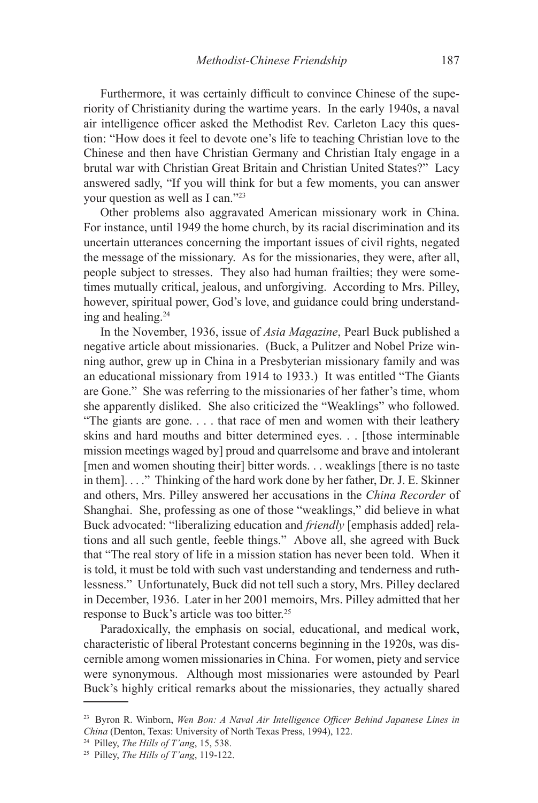Furthermore, it was certainly difficult to convince Chinese of the superiority of Christianity during the wartime years. In the early 1940s, a naval air intelligence officer asked the Methodist Rev. Carleton Lacy this question: "How does it feel to devote one's life to teaching Christian love to the Chinese and then have Christian Germany and Christian Italy engage in a brutal war with Christian Great Britain and Christian United States?" Lacy answered sadly, "If you will think for but a few moments, you can answer your question as well as I can."23

Other problems also aggravated American missionary work in China. For instance, until 1949 the home church, by its racial discrimination and its uncertain utterances concerning the important issues of civil rights, negated the message of the missionary. As for the missionaries, they were, after all, people subject to stresses. They also had human frailties; they were sometimes mutually critical, jealous, and unforgiving. According to Mrs. Pilley, however, spiritual power, God's love, and guidance could bring understanding and healing.24

In the November, 1936, issue of *Asia Magazine*, Pearl Buck published a negative article about missionaries. (Buck, a Pulitzer and Nobel Prize winning author, grew up in China in a Presbyterian missionary family and was an educational missionary from 1914 to 1933.) It was entitled "The Giants are Gone." She was referring to the missionaries of her father's time, whom she apparently disliked. She also criticized the "Weaklings" who followed. "The giants are gone. . . . that race of men and women with their leathery skins and hard mouths and bitter determined eyes. . . [those interminable mission meetings waged by] proud and quarrelsome and brave and intolerant [men and women shouting their] bitter words. . . weaklings [there is no taste in them]. . . ." Thinking of the hard work done by her father, Dr. J. E. Skinner and others, Mrs. Pilley answered her accusations in the *China Recorder* of Shanghai. She, professing as one of those "weaklings," did believe in what Buck advocated: "liberalizing education and *friendly* [emphasis added] relations and all such gentle, feeble things." Above all, she agreed with Buck that "The real story of life in a mission station has never been told. When it is told, it must be told with such vast understanding and tenderness and ruthlessness." Unfortunately, Buck did not tell such a story, Mrs. Pilley declared in December, 1936. Later in her 2001 memoirs, Mrs. Pilley admitted that her response to Buck's article was too bitter.25

Paradoxically, the emphasis on social, educational, and medical work, characteristic of liberal Protestant concerns beginning in the 1920s, was discernible among women missionaries in China. For women, piety and service were synonymous. Although most missionaries were astounded by Pearl Buck's highly critical remarks about the missionaries, they actually shared

<sup>23</sup> Byron R. Winborn, *Wen Bon: A Naval Air Intelligence Officer Behind Japanese Lines in China* (Denton, Texas: University of North Texas Press, 1994), 122.

<sup>24</sup> Pilley, *The Hills of T'ang*, 15, 538.

<sup>25</sup> Pilley, *The Hills of T'ang*, 119-122.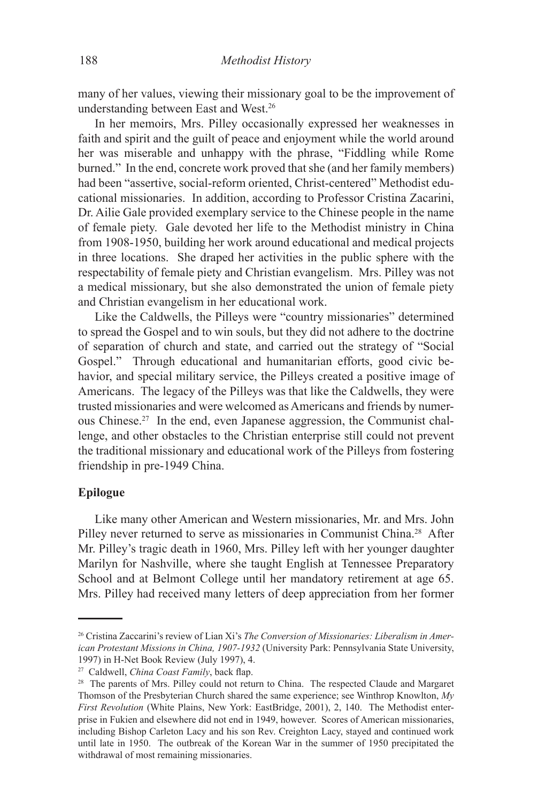many of her values, viewing their missionary goal to be the improvement of understanding between East and West.26

In her memoirs, Mrs. Pilley occasionally expressed her weaknesses in faith and spirit and the guilt of peace and enjoyment while the world around her was miserable and unhappy with the phrase, "Fiddling while Rome burned." In the end, concrete work proved that she (and her family members) had been "assertive, social-reform oriented, Christ-centered" Methodist educational missionaries. In addition, according to Professor Cristina Zacarini, Dr. Ailie Gale provided exemplary service to the Chinese people in the name of female piety. Gale devoted her life to the Methodist ministry in China from 1908-1950, building her work around educational and medical projects in three locations. She draped her activities in the public sphere with the respectability of female piety and Christian evangelism. Mrs. Pilley was not a medical missionary, but she also demonstrated the union of female piety and Christian evangelism in her educational work.

Like the Caldwells, the Pilleys were "country missionaries" determined to spread the Gospel and to win souls, but they did not adhere to the doctrine of separation of church and state, and carried out the strategy of "Social Gospel." Through educational and humanitarian efforts, good civic behavior, and special military service, the Pilleys created a positive image of Americans. The legacy of the Pilleys was that like the Caldwells, they were trusted missionaries and were welcomed as Americans and friends by numerous Chinese.27 In the end, even Japanese aggression, the Communist challenge, and other obstacles to the Christian enterprise still could not prevent the traditional missionary and educational work of the Pilleys from fostering friendship in pre-1949 China.

### **Epilogue**

Like many other American and Western missionaries, Mr. and Mrs. John Pilley never returned to serve as missionaries in Communist China.<sup>28</sup> After Mr. Pilley's tragic death in 1960, Mrs. Pilley left with her younger daughter Marilyn for Nashville, where she taught English at Tennessee Preparatory School and at Belmont College until her mandatory retirement at age 65. Mrs. Pilley had received many letters of deep appreciation from her former

<sup>26</sup> Cristina Zaccarini's review of Lian Xi's *The Conversion of Missionaries: Liberalism in American Protestant Missions in China, 1907-1932* (University Park: Pennsylvania State University, 1997) in H-Net Book Review (July 1997), 4.

<sup>27</sup> Caldwell, *China Coast Family*, back flap.

<sup>&</sup>lt;sup>28</sup> The parents of Mrs. Pilley could not return to China. The respected Claude and Margaret Thomson of the Presbyterian Church shared the same experience; see Winthrop Knowlton, *My First Revolution* (White Plains, New York: EastBridge, 2001), 2, 140. The Methodist enterprise in Fukien and elsewhere did not end in 1949, however. Scores of American missionaries, including Bishop Carleton Lacy and his son Rev. Creighton Lacy, stayed and continued work until late in 1950. The outbreak of the Korean War in the summer of 1950 precipitated the withdrawal of most remaining missionaries.